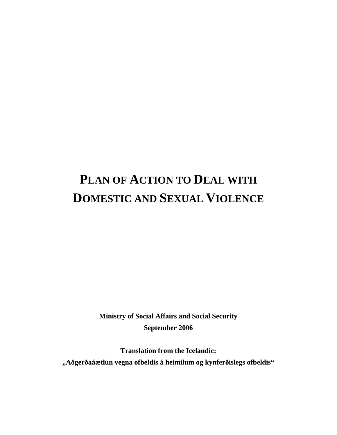# **PLAN OF ACTION TO DEAL WITH DOMESTIC AND SEXUAL VIOLENCE**

**Ministry of Social Affairs and Social Security September 2006** 

**Translation from the Icelandic: "Aðgerðaáætlun vegna ofbeldis á heimilum og kynferðislegs ofbeldis"**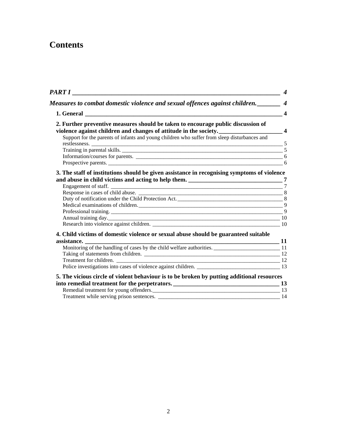## **Contents**

| 2. Further preventive measures should be taken to encourage public discussion of             |  |
|----------------------------------------------------------------------------------------------|--|
| violence against children and changes of attitude in the society.<br>4                       |  |
| Support for the parents of infants and young children who suffer from sleep disturbances and |  |
|                                                                                              |  |
|                                                                                              |  |
| Prospective parents.                                                                         |  |
| 3. The staff of institutions should be given assistance in recognising symptoms of violence  |  |
|                                                                                              |  |
|                                                                                              |  |
|                                                                                              |  |
|                                                                                              |  |
|                                                                                              |  |
|                                                                                              |  |
|                                                                                              |  |
|                                                                                              |  |
| 4. Child victims of domestic violence or sexual abuse should be guaranteed suitable          |  |
|                                                                                              |  |
|                                                                                              |  |
|                                                                                              |  |
|                                                                                              |  |
| Police investigations into cases of violence against children. 13<br>13                      |  |
| 5. The vicious circle of violent behaviour is to be broken by putting additional resources   |  |
|                                                                                              |  |
|                                                                                              |  |
| Remedial treatment for young offenders.                                                      |  |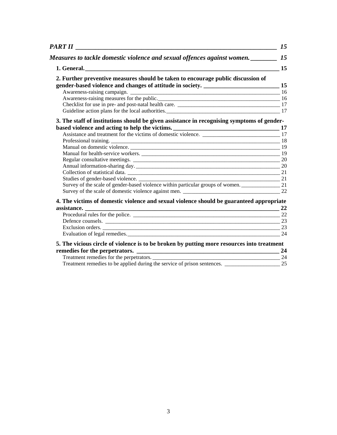|                                                                                                        | 15 |
|--------------------------------------------------------------------------------------------------------|----|
| Measures to tackle domestic violence and sexual offences against women.                                | 15 |
|                                                                                                        |    |
| 2. Further preventive measures should be taken to encourage public discussion of                       |    |
|                                                                                                        |    |
|                                                                                                        |    |
|                                                                                                        |    |
| Guideline action plans for the local authorities. 17                                                   |    |
| 3. The staff of institutions should be given assistance in recognising symptoms of gender-             |    |
|                                                                                                        |    |
|                                                                                                        |    |
|                                                                                                        |    |
|                                                                                                        |    |
| Manual for health-service workers. 19                                                                  |    |
|                                                                                                        |    |
|                                                                                                        |    |
|                                                                                                        |    |
|                                                                                                        |    |
| Survey of the scale of gender-based violence within particular groups of women. ___________________ 21 |    |
|                                                                                                        |    |
| 4. The victims of domestic violence and sexual violence should be guaranteed appropriate               |    |
|                                                                                                        |    |
|                                                                                                        |    |
|                                                                                                        |    |
|                                                                                                        |    |
|                                                                                                        |    |
| 5. The vicious circle of violence is to be broken by putting more resources into treatment             |    |
|                                                                                                        |    |
|                                                                                                        |    |
|                                                                                                        |    |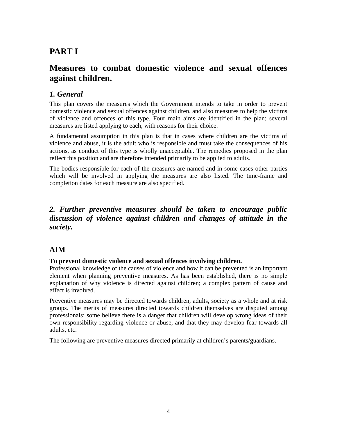## <span id="page-3-0"></span>**PART I**

## **Measures to combat domestic violence and sexual offences against children.**

## *1. General*

This plan covers the measures which the Government intends to take in order to prevent domestic violence and sexual offences against children, and also measures to help the victims of violence and offences of this type. Four main aims are identified in the plan; several measures are listed applying to each, with reasons for their choice.

A fundamental assumption in this plan is that in cases where children are the victims of violence and abuse, it is the adult who is responsible and must take the consequences of his actions, as conduct of this type is wholly unacceptable. The remedies proposed in the plan reflect this position and are therefore intended primarily to be applied to adults.

The bodies responsible for each of the measures are named and in some cases other parties which will be involved in applying the measures are also listed. The time-frame and completion dates for each measure are also specified.

## *2. Further preventive measures should be taken to encourage public discussion of violence against children and changes of attitude in the society.*

## **AIM**

## **To prevent domestic violence and sexual offences involving children.**

Professional knowledge of the causes of violence and how it can be prevented is an important element when planning preventive measures. As has been established, there is no simple explanation of why violence is directed against children; a complex pattern of cause and effect is involved.

Preventive measures may be directed towards children, adults, society as a whole and at risk groups. The merits of measures directed towards children themselves are disputed among professionals: some believe there is a danger that children will develop wrong ideas of their own responsibility regarding violence or abuse, and that they may develop fear towards all adults, etc.

The following are preventive measures directed primarily at children's parents/guardians.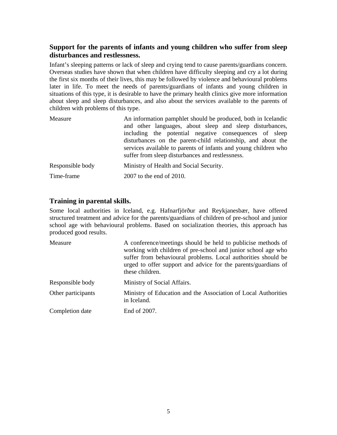## <span id="page-4-0"></span>**Support for the parents of infants and young children who suffer from sleep disturbances and restlessness.**

Infant's sleeping patterns or lack of sleep and crying tend to cause parents/guardians concern. Overseas studies have shown that when children have difficulty sleeping and cry a lot during the first six months of their lives, this may be followed by violence and behavioural problems later in life. To meet the needs of parents/guardians of infants and young children in situations of this type, it is desirable to have the primary health clinics give more information about sleep and sleep disturbances, and also about the services available to the parents of children with problems of this type.

| Measure          | An information pamphlet should be produced, both in Icelandic<br>and other languages, about sleep and sleep disturbances,<br>including the potential negative consequences of sleep<br>disturbances on the parent-child relationship, and about the<br>services available to parents of infants and young children who<br>suffer from sleep disturbances and restlessness. |
|------------------|----------------------------------------------------------------------------------------------------------------------------------------------------------------------------------------------------------------------------------------------------------------------------------------------------------------------------------------------------------------------------|
| Responsible body | Ministry of Health and Social Security.                                                                                                                                                                                                                                                                                                                                    |
| Time-frame       | 2007 to the end of 2010.                                                                                                                                                                                                                                                                                                                                                   |

## **Training in parental skills.**

Some local authorities in Iceland, e.g. Hafnarfjörður and Reykjanesbær, have offered structured treatment and advice for the parents/guardians of children of pre-school and junior school age with behavioural problems. Based on socialization theories, this approach has produced good results.

| Measure            | A conference/meetings should be held to publicise methods of<br>working with children of pre-school and junior school age who<br>suffer from behavioural problems. Local authorities should be<br>urged to offer support and advice for the parents/guardians of<br>these children. |
|--------------------|-------------------------------------------------------------------------------------------------------------------------------------------------------------------------------------------------------------------------------------------------------------------------------------|
| Responsible body   | Ministry of Social Affairs.                                                                                                                                                                                                                                                         |
| Other participants | Ministry of Education and the Association of Local Authorities<br>in Iceland.                                                                                                                                                                                                       |
| Completion date    | End of 2007.                                                                                                                                                                                                                                                                        |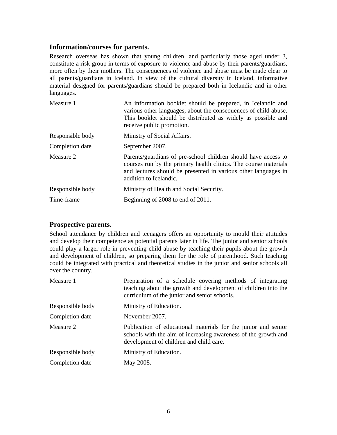#### <span id="page-5-0"></span>**Information/courses for parents.**

Research overseas has shown that young children, and particularly those aged under 3, constitute a risk group in terms of exposure to violence and abuse by their parents/guardians, more often by their mothers. The consequences of violence and abuse must be made clear to all parents/guardians in Iceland. In view of the cultural diversity in Iceland, informative material designed for parents/guardians should be prepared both in Icelandic and in other languages.

| Measure 1        | An information booklet should be prepared, in Icelandic and<br>various other languages, about the consequences of child abuse.<br>This booklet should be distributed as widely as possible and<br>receive public promotion.   |
|------------------|-------------------------------------------------------------------------------------------------------------------------------------------------------------------------------------------------------------------------------|
| Responsible body | Ministry of Social Affairs.                                                                                                                                                                                                   |
| Completion date  | September 2007.                                                                                                                                                                                                               |
| Measure 2        | Parents/guardians of pre-school children should have access to<br>courses run by the primary health clinics. The course materials<br>and lectures should be presented in various other languages in<br>addition to Icelandic. |
| Responsible body | Ministry of Health and Social Security.                                                                                                                                                                                       |
| Time-frame       | Beginning of 2008 to end of 2011.                                                                                                                                                                                             |

## **Prospective parents.**

School attendance by children and teenagers offers an opportunity to mould their attitudes and develop their competence as potential parents later in life. The junior and senior schools could play a larger role in preventing child abuse by teaching their pupils about the growth and development of children, so preparing them for the role of parenthood. Such teaching could be integrated with practical and theoretical studies in the junior and senior schools all over the country.

| Measure 1        | Preparation of a schedule covering methods of integrating<br>teaching about the growth and development of children into the<br>curriculum of the junior and senior schools. |
|------------------|-----------------------------------------------------------------------------------------------------------------------------------------------------------------------------|
| Responsible body | Ministry of Education.                                                                                                                                                      |
| Completion date  | November 2007.                                                                                                                                                              |
| Measure 2        | Publication of educational materials for the junior and senior<br>schools with the aim of increasing awareness of the growth and<br>development of children and child care. |
| Responsible body | Ministry of Education.                                                                                                                                                      |
| Completion date  | May 2008.                                                                                                                                                                   |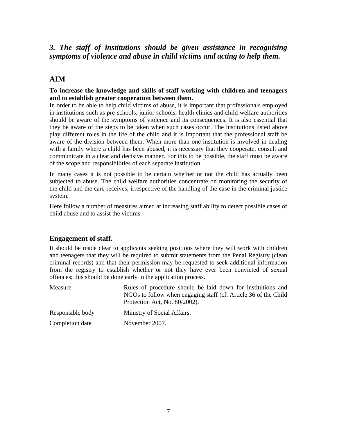## <span id="page-6-0"></span>*3. The staff of institutions should be given assistance in recognising symptoms of violence and abuse in child victims and acting to help them.*

## **AIM**

### **To increase the knowledge and skills of staff working with children and teenagers and to establish greater cooperation between them.**

In order to be able to help child victims of abuse, it is important that professionals employed in institutions such as pre-schools, junior schools, health clinics and child welfare authorities should be aware of the symptoms of violence and its consequences. It is also essential that they be aware of the steps to be taken when such cases occur. The institutions listed above play different roles in the life of the child and it is important that the professional staff be aware of the division between them. When more than one institution is involved in dealing with a family where a child has been abused, it is necessary that they cooperate, consult and communicate in a clear and decisive manner. For this to be possible, the staff must be aware of the scope and responsibilities of each separate institution.

In many cases it is not possible to be certain whether or not the child has actually been subjected to abuse. The child welfare authorities concentrate on monitoring the security of the child and the care receives, irrespective of the handling of the case in the criminal justice system.

Here follow a number of measures aimed at increasing staff ability to detect possible cases of child abuse and to assist the victims.

## **Engagement of staff.**

It should be made clear to applicants seeking positions where they will work with children and teenagers that they will be required to submit statements from the Penal Registry (clean criminal records) and that their permission may be requested to seek additional information from the registry to establish whether or not they have ever been convicted of sexual offences; this should be done early in the application process.

| Measure          | Rules of procedure should be laid down for institutions and<br>NGOs to follow when engaging staff (cf. Article 36 of the Child<br>Protection Act, No. 80/2002). |
|------------------|-----------------------------------------------------------------------------------------------------------------------------------------------------------------|
| Responsible body | Ministry of Social Affairs.                                                                                                                                     |
| Completion date  | November 2007.                                                                                                                                                  |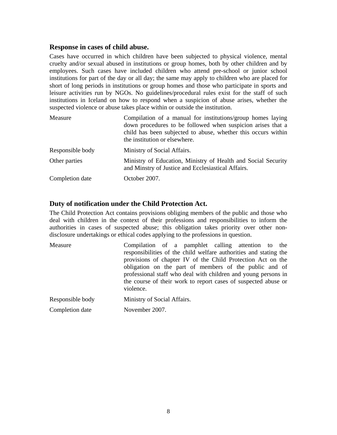### <span id="page-7-0"></span>**Response in cases of child abuse.**

Cases have occurred in which children have been subjected to physical violence, mental cruelty and/or sexual abused in institutions or group homes, both by other children and by employees. Such cases have included children who attend pre-school or junior school institutions for part of the day or all day; the same may apply to children who are placed for short of long periods in institutions or group homes and those who participate in sports and leisure activities run by NGOs. No guidelines/procedural rules exist for the staff of such institutions in Iceland on how to respond when a suspicion of abuse arises, whether the suspected violence or abuse takes place within or outside the institution.

| Measure          | Compilation of a manual for institutions/group homes laying<br>down procedures to be followed when suspicion arises that a<br>child has been subjected to abuse, whether this occurs within<br>the institution or elsewhere. |
|------------------|------------------------------------------------------------------------------------------------------------------------------------------------------------------------------------------------------------------------------|
| Responsible body | Ministry of Social Affairs.                                                                                                                                                                                                  |
| Other parties    | Ministry of Education, Ministry of Health and Social Security<br>and Minstry of Justice and Ecclesiastical Affairs.                                                                                                          |
| Completion date  | October 2007.                                                                                                                                                                                                                |

## **Duty of notification under the Child Protection Act.**

The Child Protection Act contains provisions obliging members of the public and those who deal with children in the context of their professions and responsibilities to inform the authorities in cases of suspected abuse; this obligation takes priority over other nondisclosure undertakings or ethical codes applying to the professions in question.

| Measure          | Compilation of a pamphlet calling attention to the<br>responsibilities of the child welfare authorities and stating the<br>provisions of chapter IV of the Child Protection Act on the<br>obligation on the part of members of the public and of<br>professional staff who deal with children and young persons in<br>the course of their work to report cases of suspected abuse or<br>violence. |
|------------------|---------------------------------------------------------------------------------------------------------------------------------------------------------------------------------------------------------------------------------------------------------------------------------------------------------------------------------------------------------------------------------------------------|
| Responsible body | Ministry of Social Affairs.                                                                                                                                                                                                                                                                                                                                                                       |
| Completion date  | November 2007.                                                                                                                                                                                                                                                                                                                                                                                    |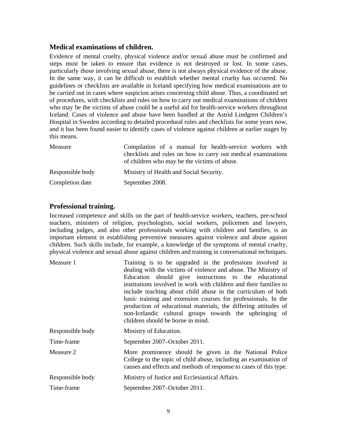### <span id="page-8-0"></span>**Medical examinations of children.**

Evidence of mental cruelty, physical violence and/or sexual abuse must be confirmed and steps must be taken to ensure that evidence is not destroyed or lost. In some cases, particularly those involving sexual abuse, there is not always physical evidence of the abuse. In the same way, it can be difficult to establish whether mental cruelty has occurred. No guidelines or checklists are available in Iceland specifying how medical examinations are to be carried out in cases where suspicion arises concerning child abuse. Thus, a coordinated set of procedures, with checklists and rules on how to carry out medical examinations of children who may be the victims of abuse could be a useful aid for health-service workers throughout Iceland. Cases of violence and abuse have been handled at the Astrid Lindgren Children's Hospital in Sweden according to detailed procedural rules and checklists for some years now, and it has been found easier to identify cases of violence against children at earlier stages by this means.

| Measure          | Compilation of a manual for health-service workers with<br>checklists and rules on how to carry out medical examinations |
|------------------|--------------------------------------------------------------------------------------------------------------------------|
|                  | of children who may be the victims of abuse.                                                                             |
| Responsible body | Ministry of Health and Social Security.                                                                                  |
| Completion date  | September 2008.                                                                                                          |

## **Professional training.**

Increased competence and skills on the part of health-service workers, teachers, pre-school teachers, ministers of religion, psychologists, social workers, policemen and lawyers, including judges, and also other professionals working with children and families, is an important element in establishing preventive measures against violence and abuse against children. Such skills include, for example, a knowledge of the symptoms of mental cruelty, physical violence and sexual abuse against children and training in conversational techniques.

| Measure 1        | Training is to be upgraded in the professions involved in<br>dealing with the victims of violence and abuse. The Ministry of<br>Education should give instructions to the educational<br>institutions involved in work with children and their families to<br>include teaching about child abuse in the curriculum of both<br>basic training and extension courses for professionals. In the<br>production of educational materials, the differing attitudes of<br>non-Icelandic cultural groups towards the upbringing of<br>children should be borne in mind. |
|------------------|-----------------------------------------------------------------------------------------------------------------------------------------------------------------------------------------------------------------------------------------------------------------------------------------------------------------------------------------------------------------------------------------------------------------------------------------------------------------------------------------------------------------------------------------------------------------|
| Responsible body | Ministry of Education.                                                                                                                                                                                                                                                                                                                                                                                                                                                                                                                                          |
| Time-frame       | September 2007–October 2011.                                                                                                                                                                                                                                                                                                                                                                                                                                                                                                                                    |
| Measure 2        | More prominence should be given in the National Police<br>College to the topic of child abuse, including an examination of<br>causes and effects and methods of response to cases of this type.                                                                                                                                                                                                                                                                                                                                                                 |
| Responsible body | Ministry of Justice and Ecclesiastical Affairs.                                                                                                                                                                                                                                                                                                                                                                                                                                                                                                                 |

Time-frame September 2007–October 2011.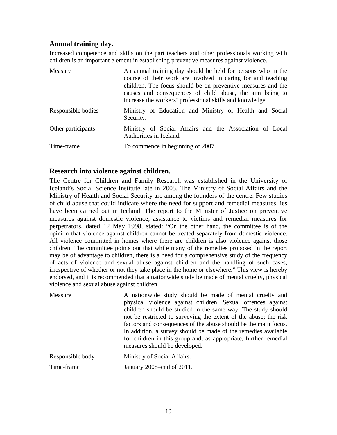## <span id="page-9-0"></span>**Annual training day.**

Increased competence and skills on the part teachers and other professionals working with children is an important element in establishing preventive measures against violence.

| Measure            | An annual training day should be held for persons who in the<br>course of their work are involved in caring for and teaching<br>children. The focus should be on preventive measures and the<br>causes and consequences of child abuse, the aim being to<br>increase the workers' professional skills and knowledge. |
|--------------------|----------------------------------------------------------------------------------------------------------------------------------------------------------------------------------------------------------------------------------------------------------------------------------------------------------------------|
| Responsible bodies | Ministry of Education and Ministry of Health and Social<br>Security.                                                                                                                                                                                                                                                 |
| Other participants | Ministry of Social Affairs and the Association of Local<br>Authorities in Iceland.                                                                                                                                                                                                                                   |
| Time-frame         | To commence in beginning of 2007.                                                                                                                                                                                                                                                                                    |

### **Research into violence against children.**

The Centre for Children and Family Research was established in the University of Iceland's Social Science Institute late in 2005. The Ministry of Social Affairs and the Ministry of Health and Social Security are among the founders of the centre. Few studies of child abuse that could indicate where the need for support and remedial measures lies have been carried out in Iceland. The report to the Minister of Justice on preventive measures against domestic violence, assistance to victims and remedial measures for perpetrators, dated 12 May 1998, stated: "On the other hand, the committee is of the opinion that violence against children cannot be treated separately from domestic violence. All violence committed in homes where there are children is also violence against those children. The committee points out that while many of the remedies proposed in the report may be of advantage to children, there is a need for a comprehensive study of the frequency of acts of violence and sexual abuse against children and the handling of such cases, irrespective of whether or not they take place in the home or elsewhere." This view is hereby endorsed, and it is recommended that a nationwide study be made of mental cruelty, physical violence and sexual abuse against children.

| Measure          | A nationwide study should be made of mental cruelty and<br>physical violence against children. Sexual offences against<br>children should be studied in the same way. The study should<br>not be restricted to surveying the extent of the abuse; the risk<br>factors and consequences of the abuse should be the main focus.<br>In addition, a survey should be made of the remedies available<br>for children in this group and, as appropriate, further remedial<br>measures should be developed. |
|------------------|------------------------------------------------------------------------------------------------------------------------------------------------------------------------------------------------------------------------------------------------------------------------------------------------------------------------------------------------------------------------------------------------------------------------------------------------------------------------------------------------------|
| Responsible body | Ministry of Social Affairs.                                                                                                                                                                                                                                                                                                                                                                                                                                                                          |
| Time-frame       | January 2008–end of 2011.                                                                                                                                                                                                                                                                                                                                                                                                                                                                            |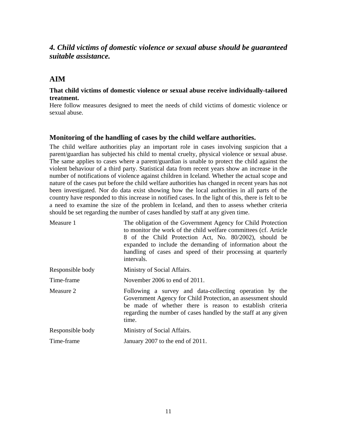## <span id="page-10-0"></span>*4. Child victims of domestic violence or sexual abuse should be guaranteed suitable assistance.*

## **AIM**

#### **That child victims of domestic violence or sexual abuse receive individually-tailored treatment.**

Here follow measures designed to meet the needs of child victims of domestic violence or sexual abuse.

### **Monitoring of the handling of cases by the child welfare authorities.**

The child welfare authorities play an important role in cases involving suspicion that a parent/guardian has subjected his child to mental cruelty, physical violence or sexual abuse. The same applies to cases where a parent/guardian is unable to protect the child against the violent behaviour of a third party. Statistical data from recent years show an increase in the number of notifications of violence against children in Iceland. Whether the actual scope and nature of the cases put before the child welfare authorities has changed in recent years has not been investigated. Nor do data exist showing how the local authorities in all parts of the country have responded to this increase in notified cases. In the light of this, there is felt to be a need to examine the size of the problem in Iceland, and then to assess whether criteria should be set regarding the number of cases handled by staff at any given time.

| Measure 1        | The obligation of the Government Agency for Child Protection<br>to monitor the work of the child welfare committees (cf. Article<br>8 of the Child Protection Act, No. 80/2002), should be<br>expanded to include the demanding of information about the<br>handling of cases and speed of their processing at quarterly<br>intervals. |
|------------------|----------------------------------------------------------------------------------------------------------------------------------------------------------------------------------------------------------------------------------------------------------------------------------------------------------------------------------------|
| Responsible body | Ministry of Social Affairs.                                                                                                                                                                                                                                                                                                            |
| Time-frame       | November 2006 to end of $2011$ .                                                                                                                                                                                                                                                                                                       |
| Measure 2        | Following a survey and data-collecting operation by the<br>Government Agency for Child Protection, an assessment should<br>be made of whether there is reason to establish criteria<br>regarding the number of cases handled by the staff at any given<br>time.                                                                        |
| Responsible body | Ministry of Social Affairs.                                                                                                                                                                                                                                                                                                            |
| Time-frame       | January 2007 to the end of 2011.                                                                                                                                                                                                                                                                                                       |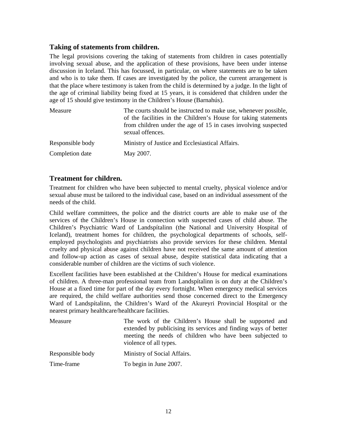## <span id="page-11-0"></span>**Taking of statements from children.**

The legal provisions covering the taking of statements from children in cases potentially involving sexual abuse, and the application of these provisions, have been under intense discussion in Iceland. This has focussed, in particular, on where statements are to be taken and who is to take them. If cases are investigated by the police, the current arrangement is that the place where testimony is taken from the child is determined by a judge. In the light of the age of criminal liability being fixed at 15 years, it is considered that children under the age of 15 should give testimony in the Children's House (Barnahús).

| Measure          | The courts should be instructed to make use, whenever possible,<br>of the facilities in the Children's House for taking statements<br>from children under the age of 15 in cases involving suspected<br>sexual offences. |
|------------------|--------------------------------------------------------------------------------------------------------------------------------------------------------------------------------------------------------------------------|
| Responsible body | Ministry of Justice and Ecclesiastical Affairs.                                                                                                                                                                          |
| Completion date  | May 2007.                                                                                                                                                                                                                |

### **Treatment for children.**

Treatment for children who have been subjected to mental cruelty, physical violence and/or sexual abuse must be tailored to the individual case, based on an individual assessment of the needs of the child.

Child welfare committees, the police and the district courts are able to make use of the services of the Children's House in connection with suspected cases of child abuse. The Children's Psychiatric Ward of Landspítalinn (the National and University Hospital of Iceland), treatment homes for children, the psychological departments of schools, selfemployed psychologists and psychiatrists also provide services for these children. Mental cruelty and physical abuse against children have not received the same amount of attention and follow-up action as cases of sexual abuse, despite statistical data indicating that a considerable number of children are the victims of such violence.

Excellent facilities have been established at the Children's House for medical examinations of children. A three-man professional team from Landspítalinn is on duty at the Children's House at a fixed time for part of the day every fortnight. When emergency medical services are required, the child welfare authorities send those concerned direct to the Emergency Ward of Landspítalinn, the Children's Ward of the Akureyri Provincial Hospital or the nearest primary healthcare/healthcare facilities.

| Measure          | The work of the Children's House shall be supported and<br>extended by publicising its services and finding ways of better<br>meeting the needs of children who have been subjected to<br>violence of all types. |
|------------------|------------------------------------------------------------------------------------------------------------------------------------------------------------------------------------------------------------------|
| Responsible body | Ministry of Social Affairs.                                                                                                                                                                                      |
| Time-frame       | To begin in June 2007.                                                                                                                                                                                           |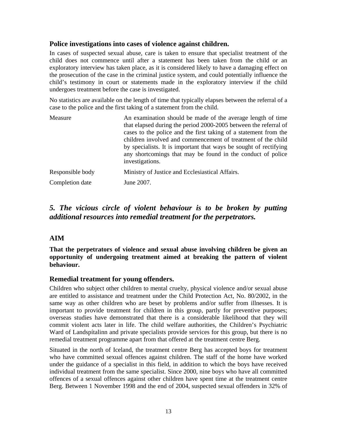## <span id="page-12-0"></span>**Police investigations into cases of violence against children.**

In cases of suspected sexual abuse, care is taken to ensure that specialist treatment of the child does not commence until after a statement has been taken from the child or an exploratory interview has taken place, as it is considered likely to have a damaging effect on the prosecution of the case in the criminal justice system, and could potentially influence the child's testimony in court or statements made in the exploratory interview if the child undergoes treatment before the case is investigated.

No statistics are available on the length of time that typically elapses between the referral of a case to the police and the first taking of a statement from the child.

| Measure          | An examination should be made of the average length of time<br>that elapsed during the period 2000-2005 between the referral of<br>cases to the police and the first taking of a statement from the<br>children involved and commencement of treatment of the child<br>by specialists. It is important that ways be sought of rectifying<br>any shortcomings that may be found in the conduct of police<br>investigations. |
|------------------|----------------------------------------------------------------------------------------------------------------------------------------------------------------------------------------------------------------------------------------------------------------------------------------------------------------------------------------------------------------------------------------------------------------------------|
| Responsible body | Ministry of Justice and Ecclesiastical Affairs.                                                                                                                                                                                                                                                                                                                                                                            |
| Completion date  | June 2007.                                                                                                                                                                                                                                                                                                                                                                                                                 |

## *5. The vicious circle of violent behaviour is to be broken by putting additional resources into remedial treatment for the perpetrators.*

## **AIM**

**That the perpetrators of violence and sexual abuse involving children be given an opportunity of undergoing treatment aimed at breaking the pattern of violent behaviour.** 

## **Remedial treatment for young offenders.**

Children who subject other children to mental cruelty, physical violence and/or sexual abuse are entitled to assistance and treatment under the Child Protection Act, No. 80/2002, in the same way as other children who are beset by problems and/or suffer from illnesses. It is important to provide treatment for children in this group, partly for preventive purposes; overseas studies have demonstrated that there is a considerable likelihood that they will commit violent acts later in life. The child welfare authorities, the Children's Psychiatric Ward of Landspítalinn and private specialists provide services for this group, but there is no remedial treatment programme apart from that offered at the treatment centre Berg.

Situated in the north of Iceland, the treatment centre Berg has accepted boys for treatment who have committed sexual offences against children. The staff of the home have worked under the guidance of a specialist in this field, in addition to which the boys have received individual treatment from the same specialist. Since 2000, nine boys who have all committed offences of a sexual offences against other children have spent time at the treatment centre Berg. Between 1 November 1998 and the end of 2004, suspected sexual offenders in 32% of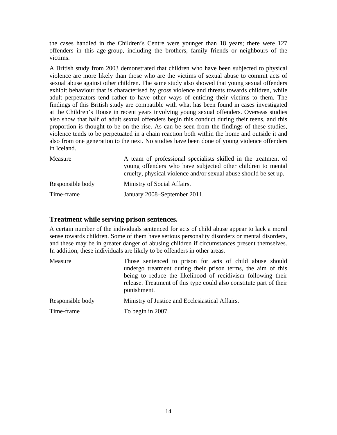<span id="page-13-0"></span>the cases handled in the Children's Centre were younger than 18 years; there were 127 offenders in this age-group, including the brothers, family friends or neighbours of the victims.

A British study from 2003 demonstrated that children who have been subjected to physical violence are more likely than those who are the victims of sexual abuse to commit acts of sexual abuse against other children. The same study also showed that young sexual offenders exhibit behaviour that is characterised by gross violence and threats towards children, while adult perpetrators tend rather to have other ways of enticing their victims to them. The findings of this British study are compatible with what has been found in cases investigated at the Children's House in recent years involving young sexual offenders. Overseas studies also show that half of adult sexual offenders begin this conduct during their teens, and this proportion is thought to be on the rise. As can be seen from the findings of these studies, violence tends to be perpetuated in a chain reaction both within the home and outside it and also from one generation to the next. No studies have been done of young violence offenders in Iceland.

| Measure          | A team of professional specialists skilled in the treatment of<br>young offenders who have subjected other children to mental<br>cruelty, physical violence and/or sexual abuse should be set up. |
|------------------|---------------------------------------------------------------------------------------------------------------------------------------------------------------------------------------------------|
| Responsible body | Ministry of Social Affairs.                                                                                                                                                                       |
| Time-frame       | January 2008–September 2011.                                                                                                                                                                      |

## **Treatment while serving prison sentences.**

A certain number of the individuals sentenced for acts of child abuse appear to lack a moral sense towards children. Some of them have serious personality disorders or mental disorders, and these may be in greater danger of abusing children if circumstances present themselves. In addition, these individuals are likely to be offenders in other areas.

| Measure          | Those sentenced to prison for acts of child abuse should<br>undergo treatment during their prison terms, the aim of this<br>being to reduce the likelihood of recidivism following their<br>release. Treatment of this type could also constitute part of their<br>punishment. |
|------------------|--------------------------------------------------------------------------------------------------------------------------------------------------------------------------------------------------------------------------------------------------------------------------------|
| Responsible body | Ministry of Justice and Ecclesiastical Affairs.                                                                                                                                                                                                                                |
| Time-frame       | To begin in 2007.                                                                                                                                                                                                                                                              |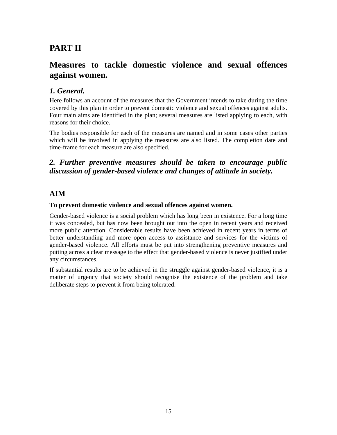## <span id="page-14-0"></span>**PART II**

## **Measures to tackle domestic violence and sexual offences against women.**

## *1. General.*

Here follows an account of the measures that the Government intends to take during the time covered by this plan in order to prevent domestic violence and sexual offences against adults. Four main aims are identified in the plan; several measures are listed applying to each, with reasons for their choice.

The bodies responsible for each of the measures are named and in some cases other parties which will be involved in applying the measures are also listed. The completion date and time-frame for each measure are also specified.

## *2. Further preventive measures should be taken to encourage public discussion of gender-based violence and changes of attitude in society.*

## **AIM**

### **To prevent domestic violence and sexual offences against women.**

Gender-based violence is a social problem which has long been in existence. For a long time it was concealed, but has now been brought out into the open in recent years and received more public attention. Considerable results have been achieved in recent years in terms of better understanding and more open access to assistance and services for the victims of gender-based violence. All efforts must be put into strengthening preventive measures and putting across a clear message to the effect that gender-based violence is never justified under any circumstances.

If substantial results are to be achieved in the struggle against gender-based violence, it is a matter of urgency that society should recognise the existence of the problem and take deliberate steps to prevent it from being tolerated.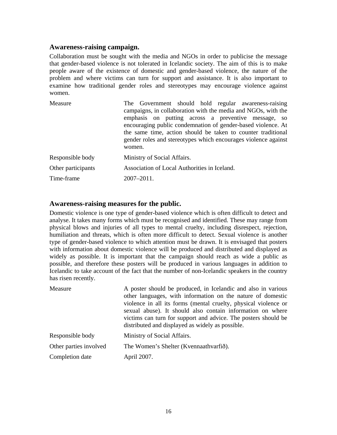#### <span id="page-15-0"></span>**Awareness-raising campaign.**

Collaboration must be sought with the media and NGOs in order to publicise the message that gender-based violence is not tolerated in Icelandic society. The aim of this is to make people aware of the existence of domestic and gender-based violence, the nature of the problem and where victims can turn for support and assistance. It is also important to examine how traditional gender roles and stereotypes may encourage violence against women.

| Measure            | The Government should hold regular awareness-raising<br>campaigns, in collaboration with the media and NGOs, with the<br>emphasis on putting across a preventive message, so<br>encouraging public condemnation of gender-based violence. At<br>the same time, action should be taken to counter traditional<br>gender roles and stereotypes which encourages violence against<br>women. |
|--------------------|------------------------------------------------------------------------------------------------------------------------------------------------------------------------------------------------------------------------------------------------------------------------------------------------------------------------------------------------------------------------------------------|
| Responsible body   | Ministry of Social Affairs.                                                                                                                                                                                                                                                                                                                                                              |
| Other participants | Association of Local Authorities in Iceland.                                                                                                                                                                                                                                                                                                                                             |
| Time-frame         | $2007 - 2011$ .                                                                                                                                                                                                                                                                                                                                                                          |

#### **Awareness-raising measures for the public.**

Domestic violence is one type of gender-based violence which is often difficult to detect and analyse. It takes many forms which must be recognised and identified. These may range from physical blows and injuries of all types to mental cruelty, including disrespect, rejection, humiliation and threats, which is often more difficult to detect. Sexual violence is another type of gender-based violence to which attention must be drawn. It is envisaged that posters with information about domestic violence will be produced and distributed and displayed as widely as possible. It is important that the campaign should reach as wide a public as possible, and therefore these posters will be produced in various languages in addition to Icelandic to take account of the fact that the number of non-Icelandic speakers in the country has risen recently.

| Measure                | A poster should be produced, in Icelandic and also in various<br>other languages, with information on the nature of domestic<br>violence in all its forms (mental cruelty, physical violence or<br>sexual abuse). It should also contain information on where<br>victims can turn for support and advice. The posters should be<br>distributed and displayed as widely as possible. |
|------------------------|-------------------------------------------------------------------------------------------------------------------------------------------------------------------------------------------------------------------------------------------------------------------------------------------------------------------------------------------------------------------------------------|
| Responsible body       | Ministry of Social Affairs.                                                                                                                                                                                                                                                                                                                                                         |
| Other parties involved | The Women's Shelter (Kvennaathvarfið).                                                                                                                                                                                                                                                                                                                                              |
| Completion date        | April 2007.                                                                                                                                                                                                                                                                                                                                                                         |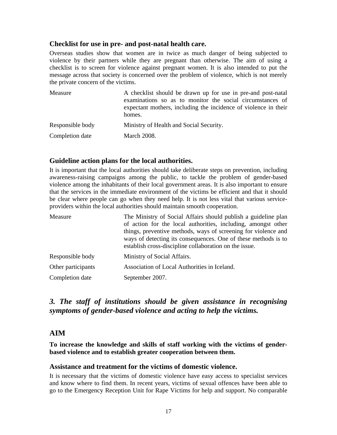### <span id="page-16-0"></span>**Checklist for use in pre- and post-natal health care.**

Overseas studies show that women are in twice as much danger of being subjected to violence by their partners while they are pregnant than otherwise. The aim of using a checklist is to screen for violence against pregnant women. It is also intended to put the message across that society is concerned over the problem of violence, which is not merely the private concern of the victims.

| Measure          | A checklist should be drawn up for use in pre-and post-natal<br>examinations so as to monitor the social circumstances of<br>expectant mothers, including the incidence of violence in their<br>homes. |
|------------------|--------------------------------------------------------------------------------------------------------------------------------------------------------------------------------------------------------|
| Responsible body | Ministry of Health and Social Security.                                                                                                                                                                |
| Completion date  | <b>March 2008.</b>                                                                                                                                                                                     |

## **Guideline action plans for the local authorities.**

It is important that the local authorities should take deliberate steps on prevention, including awareness-raising campaigns among the public, to tackle the problem of gender-based violence among the inhabitants of their local government areas. It is also important to ensure that the services in the immediate environment of the victims be efficient and that it should be clear where people can go when they need help. It is not less vital that various serviceproviders within the local authorities should maintain smooth cooperation.

| Measure            | The Ministry of Social Affairs should publish a guideline plan<br>of action for the local authorities, including, amongst other<br>things, preventive methods, ways of screening for violence and<br>ways of detecting its consequences. One of these methods is to<br>establish cross-discipline collaboration on the issue. |
|--------------------|-------------------------------------------------------------------------------------------------------------------------------------------------------------------------------------------------------------------------------------------------------------------------------------------------------------------------------|
| Responsible body   | Ministry of Social Affairs.                                                                                                                                                                                                                                                                                                   |
| Other participants | Association of Local Authorities in Iceland.                                                                                                                                                                                                                                                                                  |
| Completion date    | September 2007.                                                                                                                                                                                                                                                                                                               |

## *3. The staff of institutions should be given assistance in recognising symptoms of gender-based violence and acting to help the victims.*

## **AIM**

**To increase the knowledge and skills of staff working with the victims of genderbased violence and to establish greater cooperation between them.** 

#### **Assistance and treatment for the victims of domestic violence.**

It is necessary that the victims of domestic violence have easy access to specialist services and know where to find them. In recent years, victims of sexual offences have been able to go to the Emergency Reception Unit for Rape Victims for help and support. No comparable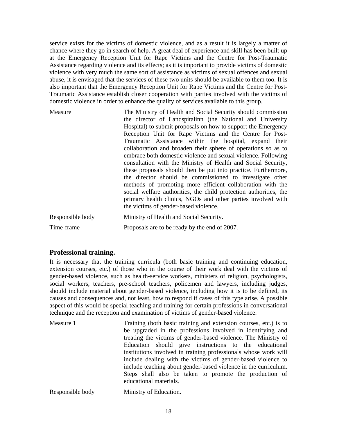<span id="page-17-0"></span>service exists for the victims of domestic violence, and as a result it is largely a matter of chance where they go in search of help. A great deal of experience and skill has been built up at the Emergency Reception Unit for Rape Victims and the Centre for Post-Traumatic Assistance regarding violence and its effects; as it is important to provide victims of domestic violence with very much the same sort of assistance as victims of sexual offences and sexual abuse, it is envisaged that the services of these two units should be available to them too. It is also important that the Emergency Reception Unit for Rape Victims and the Centre for Post-Traumatic Assistance establish closer cooperation with parties involved with the victims of domestic violence in order to enhance the quality of services available to this group.

| Measure          | The Ministry of Health and Social Security should commission<br>the director of Landspitalinn (the National and University<br>Hospital) to submit proposals on how to support the Emergency<br>Reception Unit for Rape Victims and the Centre for Post-<br>Traumatic Assistance within the hospital, expand their<br>collaboration and broaden their sphere of operations so as to<br>embrace both domestic violence and sexual violence. Following<br>consultation with the Ministry of Health and Social Security,<br>these proposals should then be put into practice. Furthermore,<br>the director should be commissioned to investigate other<br>methods of promoting more efficient collaboration with the<br>social welfare authorities, the child protection authorities, the<br>primary health clinics, NGOs and other parties involved with |
|------------------|-------------------------------------------------------------------------------------------------------------------------------------------------------------------------------------------------------------------------------------------------------------------------------------------------------------------------------------------------------------------------------------------------------------------------------------------------------------------------------------------------------------------------------------------------------------------------------------------------------------------------------------------------------------------------------------------------------------------------------------------------------------------------------------------------------------------------------------------------------|
|                  | the victims of gender-based violence.                                                                                                                                                                                                                                                                                                                                                                                                                                                                                                                                                                                                                                                                                                                                                                                                                 |
| Responsible body | Ministry of Health and Social Security.                                                                                                                                                                                                                                                                                                                                                                                                                                                                                                                                                                                                                                                                                                                                                                                                               |
| Time-frame       | Proposals are to be ready by the end of 2007.                                                                                                                                                                                                                                                                                                                                                                                                                                                                                                                                                                                                                                                                                                                                                                                                         |

## **Professional training.**

It is necessary that the training curricula (both basic training and continuing education, extension courses, etc.) of those who in the course of their work deal with the victims of gender-based violence, such as health-service workers, ministers of religion, psychologists, social workers, teachers, pre-school teachers, policemen and lawyers, including judges, should include material about gender-based violence, including how it is to be defined, its causes and consequences and, not least, how to respond if cases of this type arise. A possible aspect of this would be special teaching and training for certain professions in conversational technique and the reception and examination of victims of gender-based violence.

| Measure 1        | Training (both basic training and extension courses, etc.) is to<br>be upgraded in the professions involved in identifying and<br>treating the victims of gender-based violence. The Ministry of<br>Education should give instructions to the educational<br>institutions involved in training professionals whose work will<br>include dealing with the victims of gender-based violence to<br>include teaching about gender-based violence in the curriculum.<br>Steps shall also be taken to promote the production of<br>educational materials. |
|------------------|-----------------------------------------------------------------------------------------------------------------------------------------------------------------------------------------------------------------------------------------------------------------------------------------------------------------------------------------------------------------------------------------------------------------------------------------------------------------------------------------------------------------------------------------------------|
| Responsible body | Ministry of Education.                                                                                                                                                                                                                                                                                                                                                                                                                                                                                                                              |

18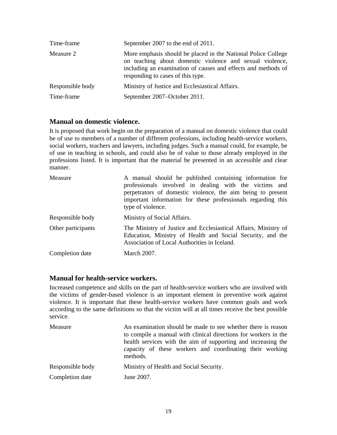<span id="page-18-0"></span>

| Time-frame       | September 2007 to the end of 2011.                                                                                                                                                                                              |
|------------------|---------------------------------------------------------------------------------------------------------------------------------------------------------------------------------------------------------------------------------|
| Measure 2        | More emphasis should be placed in the National Police College<br>on teaching about domestic violence and sexual violence,<br>including an examination of causes and effects and methods of<br>responding to cases of this type. |
| Responsible body | Ministry of Justice and Ecclesiastical Affairs.                                                                                                                                                                                 |
| Time-frame       | September 2007–October 2011.                                                                                                                                                                                                    |

## **Manual on domestic violence.**

It is proposed that work begin on the preparation of a manual on domestic violence that could be of use to members of a number of different professions, including health-service workers, social workers, teachers and lawyers, including judges. Such a manual could, for example, be of use in teaching in schools, and could also be of value to those already employed in the professions listed. It is important that the material be presented in an accessible and clear manner.

| Measure            | A manual should be published containing information for<br>professionals involved in dealing with the victims and<br>perpetrators of domestic violence, the aim being to present<br>important information for these professionals regarding this<br>type of violence. |
|--------------------|-----------------------------------------------------------------------------------------------------------------------------------------------------------------------------------------------------------------------------------------------------------------------|
| Responsible body   | Ministry of Social Affairs.                                                                                                                                                                                                                                           |
| Other participants | The Ministry of Justice and Ecclesiastical Affairs, Ministry of<br>Education, Ministry of Health and Social Security, and the<br>Association of Local Authorities in Iceland.                                                                                         |
| Completion date    | <b>March 2007.</b>                                                                                                                                                                                                                                                    |

## **Manual for health-service workers.**

Increased competence and skills on the part of health-service workers who are involved with the victims of gender-based violence is an important element in preventive work against violence. It is important that these health-service workers have common goals and work according to the same definitions so that the victim will at all times receive the best possible service.

| Measure          | An examination should be made to see whether there is reason<br>to compile a manual with clinical directions for workers in the<br>health services with the aim of supporting and increasing the<br>capacity of these workers and coordinating their working<br>methods. |
|------------------|--------------------------------------------------------------------------------------------------------------------------------------------------------------------------------------------------------------------------------------------------------------------------|
| Responsible body | Ministry of Health and Social Security.                                                                                                                                                                                                                                  |
| Completion date  | June 2007.                                                                                                                                                                                                                                                               |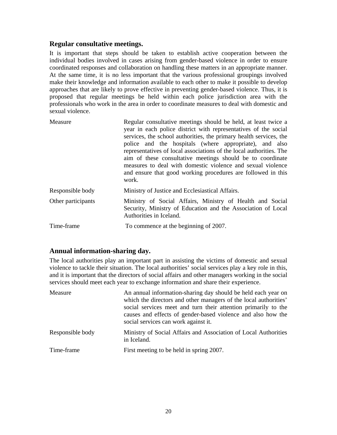### <span id="page-19-0"></span>**Regular consultative meetings.**

It is important that steps should be taken to establish active cooperation between the individual bodies involved in cases arising from gender-based violence in order to ensure coordinated responses and collaboration on handling these matters in an appropriate manner. At the same time, it is no less important that the various professional groupings involved make their knowledge and information available to each other to make it possible to develop approaches that are likely to prove effective in preventing gender-based violence. Thus, it is proposed that regular meetings be held within each police jurisdiction area with the professionals who work in the area in order to coordinate measures to deal with domestic and sexual violence.

| Measure            | Regular consultative meetings should be held, at least twice a<br>year in each police district with representatives of the social<br>services, the school authorities, the primary health services, the<br>police and the hospitals (where appropriate), and also<br>representatives of local associations of the local authorities. The<br>aim of these consultative meetings should be to coordinate<br>measures to deal with domestic violence and sexual violence<br>and ensure that good working procedures are followed in this<br>work. |
|--------------------|------------------------------------------------------------------------------------------------------------------------------------------------------------------------------------------------------------------------------------------------------------------------------------------------------------------------------------------------------------------------------------------------------------------------------------------------------------------------------------------------------------------------------------------------|
| Responsible body   | Ministry of Justice and Ecclesiastical Affairs.                                                                                                                                                                                                                                                                                                                                                                                                                                                                                                |
| Other participants | Ministry of Social Affairs, Ministry of Health and Social<br>Security, Ministry of Education and the Association of Local<br>Authorities in Iceland.                                                                                                                                                                                                                                                                                                                                                                                           |
| Time-frame         | To commence at the beginning of 2007.                                                                                                                                                                                                                                                                                                                                                                                                                                                                                                          |

## **Annual information-sharing day.**

The local authorities play an important part in assisting the victims of domestic and sexual violence to tackle their situation. The local authorities' social services play a key role in this, and it is important that the directors of social affairs and other managers working in the social services should meet each year to exchange information and share their experience.

| Measure          | An annual information-sharing day should be held each year on<br>which the directors and other managers of the local authorities'<br>social services meet and turn their attention primarily to the<br>causes and effects of gender-based violence and also how the<br>social services can work against it. |
|------------------|-------------------------------------------------------------------------------------------------------------------------------------------------------------------------------------------------------------------------------------------------------------------------------------------------------------|
| Responsible body | Ministry of Social Affairs and Association of Local Authorities<br>in Iceland.                                                                                                                                                                                                                              |
| Time-frame       | First meeting to be held in spring 2007.                                                                                                                                                                                                                                                                    |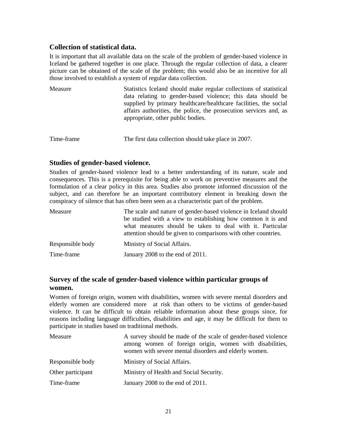## <span id="page-20-0"></span>**Collection of statistical data.**

It is important that all available data on the scale of the problem of gender-based violence in Iceland be gathered together in one place. Through the regular collection of data, a clearer picture can be obtained of the scale of the problem; this would also be an incentive for all those involved to establish a system of regular data collection.

| Measure | Statistics Iceland should make regular collections of statistical<br>data relating to gender-based violence; this data should be<br>supplied by primary healthcare/healthcare facilities, the social<br>affairs authorities, the police, the prosecution services and, as |
|---------|---------------------------------------------------------------------------------------------------------------------------------------------------------------------------------------------------------------------------------------------------------------------------|
|         | appropriate, other public bodies.                                                                                                                                                                                                                                         |

```
Time-frame The first data collection should take place in 2007.
```
### **Studies of gender-based violence.**

Studies of gender-based violence lead to a better understanding of its nature, scale and consequences. This is a prerequisite for being able to work on preventive measures and the formulation of a clear policy in this area. Studies also promote informed discussion of the subject, and can therefore be an important contributory element in breaking down the conspiracy of silence that has often been seen as a characteristic part of the problem.

| Measure          | The scale and nature of gender-based violence in Iceland should<br>be studied with a view to establishing how common it is and<br>what measures should be taken to deal with it. Particular<br>attention should be given to comparisons with other countries. |
|------------------|---------------------------------------------------------------------------------------------------------------------------------------------------------------------------------------------------------------------------------------------------------------|
| Responsible body | Ministry of Social Affairs.                                                                                                                                                                                                                                   |
| Time-frame       | January 2008 to the end of 2011.                                                                                                                                                                                                                              |

## **Survey of the scale of gender-based violence within particular groups of women.**

Women of foreign origin, women with disabilities, women with severe mental disorders and elderly women are considered more at risk than others to be victims of gender-based violence. It can be difficult to obtain reliable information about these groups since, for reasons including language difficulties, disabilities and age, it may be difficult for them to participate in studies based on traditional methods.

| Measure           | A survey should be made of the scale of gender-based violence<br>among women of foreign origin, women with disabilities,<br>women with severe mental disorders and elderly women. |
|-------------------|-----------------------------------------------------------------------------------------------------------------------------------------------------------------------------------|
| Responsible body  | Ministry of Social Affairs.                                                                                                                                                       |
| Other participant | Ministry of Health and Social Security.                                                                                                                                           |
| Time-frame        | January 2008 to the end of 2011.                                                                                                                                                  |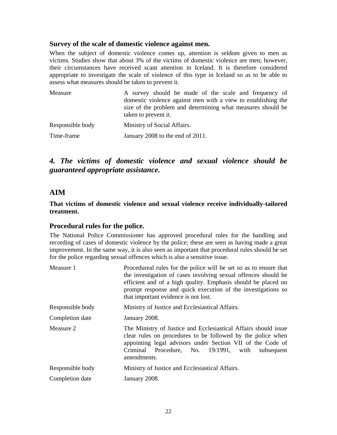#### <span id="page-21-0"></span>**Survey of the scale of domestic violence against men.**

When the subject of domestic violence comes up, attention is seldom given to men as victims. Studies show that about 3% of the victims of domestic violence are men; however, their circumstances have received scant attention in Iceland. It is therefore considered appropriate to investigate the scale of violence of this type in Iceland so as to be able to assess what measures should be taken to prevent it.

| Measure          | A survey should be made of the scale and frequency of<br>domestic violence against men with a view to establishing the<br>size of the problem and determining what measures should be<br>taken to prevent it. |
|------------------|---------------------------------------------------------------------------------------------------------------------------------------------------------------------------------------------------------------|
| Responsible body | Ministry of Social Affairs.                                                                                                                                                                                   |
| Time-frame       | January 2008 to the end of 2011.                                                                                                                                                                              |

## *4. The victims of domestic violence and sexual violence should be guaranteed appropriate assistance.*

## **AIM**

**That victims of domestic violence and sexual violence receive individually-tailored treatment.** 

#### **Procedural rules for the police.**

The National Police Commissioner has approved procedural rules for the handling and recording of cases of domestic violence by the police; these are seen as having made a great improvement. In the same way, it is also seen as important that procedural rules should be set for the police regarding sexual offences which is also a sensitive issue.

| Procedureal rules for the police will be set so as to ensure that<br>the investigation of cases involving sexual offences should be<br>efficient and of a high quality. Emphasis should be placed on<br>prompt response and quick execution of the investigations so<br>that important evidence is not lost. |
|--------------------------------------------------------------------------------------------------------------------------------------------------------------------------------------------------------------------------------------------------------------------------------------------------------------|
| Ministry of Justice and Ecclesiastical Affairs.                                                                                                                                                                                                                                                              |
| January 2008.                                                                                                                                                                                                                                                                                                |
| The Ministry of Justice and Ecclesiastical Affairs should issue<br>clear rules on procedures to be followed by the police when<br>appointing legal advisors under Section VII of the Code of<br>Criminal Procedure, No. 19/1991, with<br>subsequent<br>amendments.                                           |
| Ministry of Justice and Ecclesiastical Affairs.                                                                                                                                                                                                                                                              |
| January 2008.                                                                                                                                                                                                                                                                                                |
|                                                                                                                                                                                                                                                                                                              |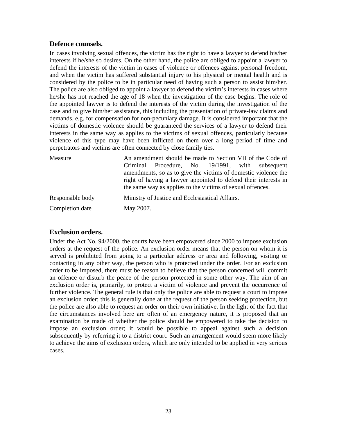### <span id="page-22-0"></span>**Defence counsels.**

In cases involving sexual offences, the victim has the right to have a lawyer to defend his/her interests if he/she so desires. On the other hand, the police are obliged to appoint a lawyer to defend the interests of the victim in cases of violence or offences against personal freedom, and when the victim has suffered substantial injury to his physical or mental health and is considered by the police to be in particular need of having such a person to assist him/her. The police are also obliged to appoint a lawyer to defend the victim's interests in cases where he/she has not reached the age of 18 when the investigation of the case begins. The role of the appointed lawyer is to defend the interests of the victim during the investigation of the case and to give him/her assistance, this including the presentation of private-law claims and demands, e.g. for compensation for non-pecuniary damage. It is considered important that the victims of domestic violence should be guaranteed the services of a lawyer to defend their interests in the same way as applies to the victims of sexual offences, particularly because violence of this type may have been inflicted on them over a long period of time and perpetrators and victims are often connected by close family ties.

| Measure          | An amendment should be made to Section VII of the Code of<br>Procedure, No. 19/1991, with subsequent<br>Criminal<br>amendments, so as to give the victims of domestic violence the<br>right of having a lawyer appointed to defend their interests in<br>the same way as applies to the victims of sexual offences. |
|------------------|---------------------------------------------------------------------------------------------------------------------------------------------------------------------------------------------------------------------------------------------------------------------------------------------------------------------|
| Responsible body | Ministry of Justice and Ecclesiastical Affairs.                                                                                                                                                                                                                                                                     |
| Completion date  | May 2007.                                                                                                                                                                                                                                                                                                           |

## **Exclusion orders.**

Under the Act No. 94/2000, the courts have been empowered since 2000 to impose exclusion orders at the request of the police. An exclusion order means that the person on whom it is served is prohibited from going to a particular address or area and following, visiting or contacting in any other way, the person who is protected under the order. For an exclusion order to be imposed, there must be reason to believe that the person concerned will commit an offence or disturb the peace of the person protected in some other way. The aim of an exclusion order is, primarily, to protect a victim of violence and prevent the occurrence of further violence. The general rule is that only the police are able to request a court to impose an exclusion order; this is generally done at the request of the person seeking protection, but the police are also able to request an order on their own initiative. In the light of the fact that the circumstances involved here are often of an emergency nature, it is proposed that an examination be made of whether the police should be empowered to take the decision to impose an exclusion order; it would be possible to appeal against such a decision subsequently by referring it to a district court. Such an arrangement would seem more likely to achieve the aims of exclusion orders, which are only intended to be applied in very serious cases.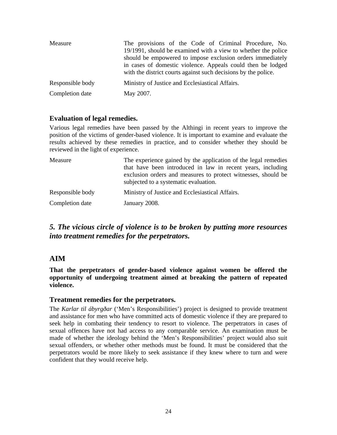<span id="page-23-0"></span>

| Measure          | The provisions of the Code of Criminal Procedure, No.<br>19/1991, should be examined with a view to whether the police<br>should be empowered to impose exclusion orders immediately<br>in cases of domestic violence. Appeals could then be lodged<br>with the district courts against such decisions by the police. |
|------------------|-----------------------------------------------------------------------------------------------------------------------------------------------------------------------------------------------------------------------------------------------------------------------------------------------------------------------|
| Responsible body | Ministry of Justice and Ecclesiastical Affairs.                                                                                                                                                                                                                                                                       |
| Completion date  | May 2007.                                                                                                                                                                                                                                                                                                             |

## **Evaluation of legal remedies.**

Various legal remedies have been passed by the Althingi in recent years to improve the position of the victims of gender-based violence. It is important to examine and evaluate the results achieved by these remedies in practice, and to consider whether they should be reviewed in the light of experience.

| Measure          | The experience gained by the application of the legal remedies<br>that have been introduced in law in recent years, including<br>exclusion orders and measures to protect witnesses, should be<br>subjected to a systematic evaluation. |
|------------------|-----------------------------------------------------------------------------------------------------------------------------------------------------------------------------------------------------------------------------------------|
| Responsible body | Ministry of Justice and Ecclesiastical Affairs.                                                                                                                                                                                         |
| Completion date  | January 2008.                                                                                                                                                                                                                           |

## *5. The vicious circle of violence is to be broken by putting more resources into treatment remedies for the perpetrators.*

## **AIM**

**That the perpetrators of gender-based violence against women be offered the opportunity of undergoing treatment aimed at breaking the pattern of repeated violence.** 

#### **Treatment remedies for the perpetrators.**

The *Karlar til ábyrgðar* ('Men's Responsibilities') project is designed to provide treatment and assistance for men who have committed acts of domestic violence if they are prepared to seek help in combating their tendency to resort to violence. The perpetrators in cases of sexual offences have not had access to any comparable service. An examination must be made of whether the ideology behind the 'Men's Responsibilities' project would also suit sexual offenders, or whether other methods must be found. It must be considered that the perpetrators would be more likely to seek assistance if they knew where to turn and were confident that they would receive help.